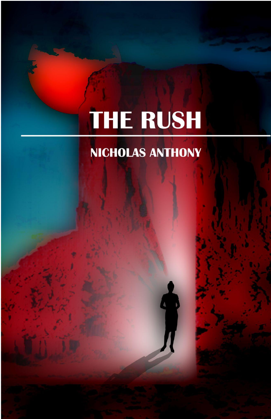# THE RUSH

### NICHOLAS ANTHONY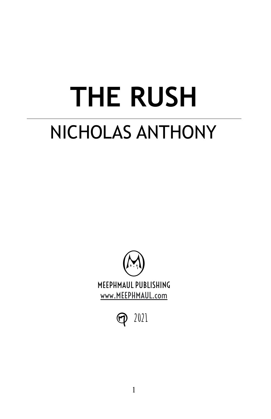## **THE RUSH** NICHOLAS ANTHONY



 $\bigcirc$ **2021**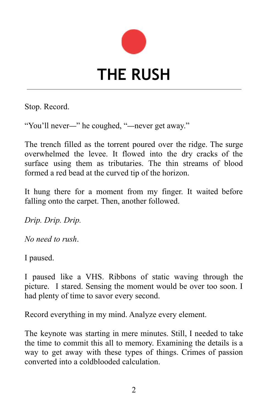

Stop. Record.

"You'll never—" he coughed, "—never get away."

The trench filled as the torrent poured over the ridge. The surge overwhelmed the levee. It flowed into the dry cracks of the surface using them as tributaries. The thin streams of blood formed a red bead at the curved tip of the horizon.

It hung there for a moment from my finger. It waited before falling onto the carpet. Then, another followed.

*Drip. Drip. Drip.*

*No need to rush*.

I paused.

I paused like a VHS. Ribbons of static waving through the picture. I stared. Sensing the moment would be over too soon. I had plenty of time to savor every second.

Record everything in my mind. Analyze every element.

The keynote was starting in mere minutes. Still, I needed to take the time to commit this all to memory. Examining the details is a way to get away with these types of things. Crimes of passion converted into a coldblooded calculation.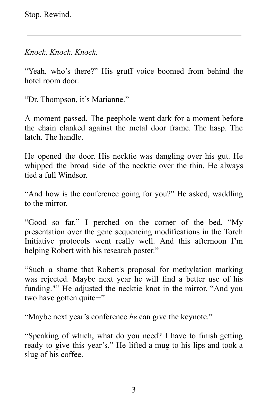Stop. Rewind.

*Knock. Knock. Knock.*

"Yeah, who's there?" His gruff voice boomed from behind the hotel room door.

"Dr. Thompson, it's Marianne."

A moment passed. The peephole went dark for a moment before the chain clanked against the metal door frame. The hasp. The latch. The handle.

He opened the door. His necktie was dangling over his gut. He whipped the broad side of the necktie over the thin. He always tied a full Windsor.

"And how is the conference going for you?" He asked, waddling to the mirror.

"Good so far." I perched on the corner of the bed. "My presentation over the gene sequencing modifications in the Torch Initiative protocols went really well. And this afternoon I'm helping Robert with his research poster."

"Such a shame that Robert's proposal for methylation marking was rejected. Maybe next year he will find a better use of his funding."" He adjusted the necktie knot in the mirror. "And you two have gotten quite—"

"Maybe next year's conference *he* can give the keynote."

"Speaking of which, what do you need? I have to finish getting ready to give this year's." He lifted a mug to his lips and took a slug of his coffee.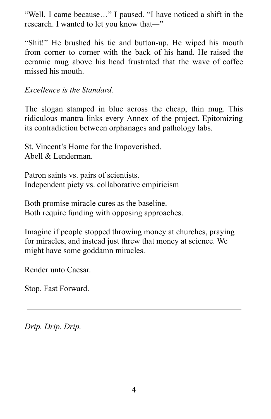"Well, I came because…" I paused. "I have noticed a shift in the research. I wanted to let you know that—"

"Shit!" He brushed his tie and button-up. He wiped his mouth from corner to corner with the back of his hand. He raised the ceramic mug above his head frustrated that the wave of coffee missed his mouth.

*Excellence is the Standard.*

The slogan stamped in blue across the cheap, thin mug. This ridiculous mantra links every Annex of the project. Epitomizing its contradiction between orphanages and pathology labs.

St. Vincent's Home for the Impoverished. Abell & Lenderman.

Patron saints vs. pairs of scientists. Independent piety vs. collaborative empiricism

Both promise miracle cures as the baseline. Both require funding with opposing approaches.

Imagine if people stopped throwing money at churches, praying for miracles, and instead just threw that money at science. We might have some goddamn miracles.

Render unto Caesar.

Stop. Fast Forward.

*Drip. Drip. Drip.*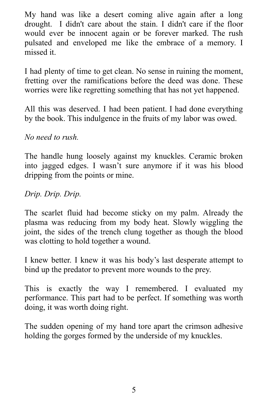My hand was like a desert coming alive again after a long drought. I didn't care about the stain. I didn't care if the floor would ever be innocent again or be forever marked. The rush pulsated and enveloped me like the embrace of a memory. I missed it.

I had plenty of time to get clean. No sense in ruining the moment, fretting over the ramifications before the deed was done. These worries were like regretting something that has not yet happened.

All this was deserved. I had been patient. I had done everything by the book. This indulgence in the fruits of my labor was owed.

*No need to rush.*

The handle hung loosely against my knuckles. Ceramic broken into jagged edges. I wasn't sure anymore if it was his blood dripping from the points or mine.

*Drip. Drip. Drip.*

The scarlet fluid had become sticky on my palm. Already the plasma was reducing from my body heat. Slowly wiggling the joint, the sides of the trench clung together as though the blood was clotting to hold together a wound.

I knew better. I knew it was his body's last desperate attempt to bind up the predator to prevent more wounds to the prey.

This is exactly the way I remembered. I evaluated my performance. This part had to be perfect. If something was worth doing, it was worth doing right.

The sudden opening of my hand tore apart the crimson adhesive holding the gorges formed by the underside of my knuckles.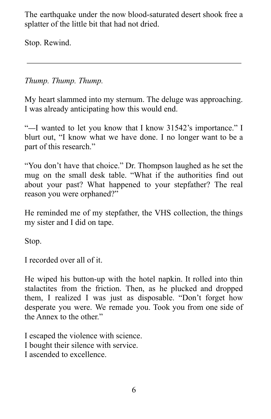The earthquake under the now blood-saturated desert shook free a splatter of the little bit that had not dried.

Stop. Rewind.

#### *Thump. Thump. Thump.*

My heart slammed into my sternum. The deluge was approaching. I was already anticipating how this would end.

"—I wanted to let you know that I know 31542's importance." I blurt out, "I know what we have done. I no longer want to be a part of this research."

"You don't have that choice." Dr. Thompson laughed as he set the mug on the small desk table. "What if the authorities find out about your past? What happened to your stepfather? The real reason you were orphaned?"

He reminded me of my stepfather, the VHS collection, the things my sister and I did on tape.

Stop.

I recorded over all of it.

He wiped his button-up with the hotel napkin. It rolled into thin stalactites from the friction. Then, as he plucked and dropped them, I realized I was just as disposable. "Don't forget how desperate you were. We remade you. Took you from one side of the Annex to the other."

I escaped the violence with science. I bought their silence with service. I ascended to excellence.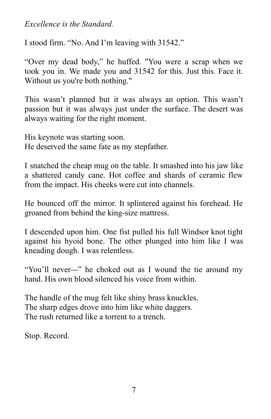*Excellence is the Standard.*

I stood firm. "No. And I'm leaving with 31542."

"Over my dead body," he huffed. "You were a scrap when we took you in. We made you and 31542 for this. Just this. Face it. Without us you're both nothing."

This wasn't planned but it was always an option. This wasn't passion but it was always just under the surface. The desert was always waiting for the right moment.

His keynote was starting soon. He deserved the same fate as my stepfather.

I snatched the cheap mug on the table. It smashed into his jaw like a shattered candy cane. Hot coffee and shards of ceramic flew from the impact. His cheeks were cut into channels.

He bounced off the mirror. It splintered against his forehead. He groaned from behind the king-size mattress.

I descended upon him. One fist pulled his full Windsor knot tight against his hyoid bone. The other plunged into him like I was kneading dough. I was relentless.

"You'll never—" he choked out as I wound the tie around my hand. His own blood silenced his voice from within.

The handle of the mug felt like shiny brass knuckles. The sharp edges drove into him like white daggers. The rush returned like a torrent to a trench.

Stop. Record.